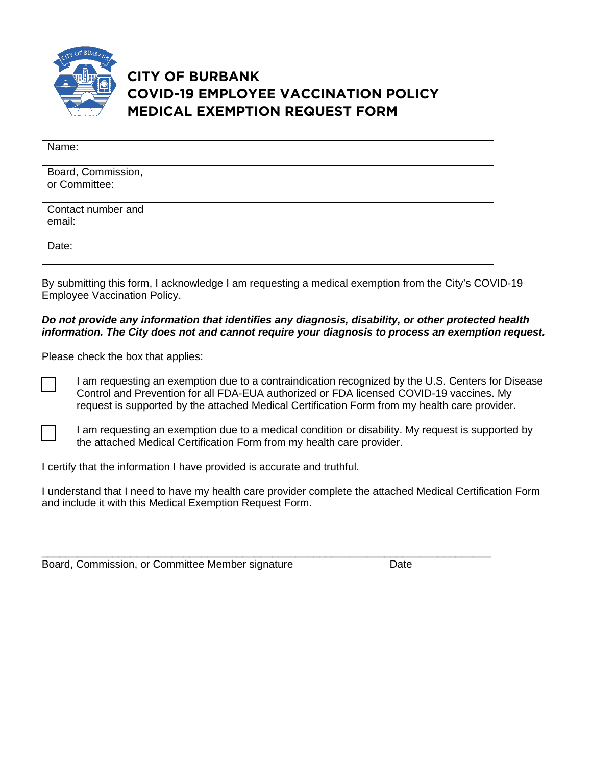

## **CITY OF BURBANK COVID-19 EMPLOYEE VACCINATION POLICY MEDICAL EXEMPTION REQUEST FORM**

| Name:                               |  |
|-------------------------------------|--|
| Board, Commission,<br>or Committee: |  |
| Contact number and<br>email:        |  |
| Date:                               |  |

By submitting this form, I acknowledge I am requesting a medical exemption from the City's COVID-19 Employee Vaccination Policy.

## *Do not provide any information that identifies any diagnosis, disability, or other protected health information. The City does not and cannot require your diagnosis to process an exemption request.*

Please check the box that applies:

I am requesting an exemption due to a contraindication recognized by the U.S. Centers for Disease Control and Prevention for all FDA-EUA authorized or FDA licensed COVID-19 vaccines. My request is supported by the attached Medical Certification Form from my health care provider.

I am requesting an exemption due to a medical condition or disability. My request is supported by the attached Medical Certification Form from my health care provider.

I certify that the information I have provided is accurate and truthful.

I understand that I need to have my health care provider complete the attached Medical Certification Form and include it with this Medical Exemption Request Form.

\_\_\_\_\_\_\_\_\_\_\_\_\_\_\_\_\_\_\_\_\_\_\_\_\_\_\_\_\_\_\_\_\_\_\_\_\_\_\_\_\_\_\_\_\_\_\_\_\_\_\_\_\_\_\_\_\_\_\_\_\_\_\_\_\_\_\_\_\_\_\_\_\_\_\_\_ Board, Commission, or Committee Member signature **Date** Date